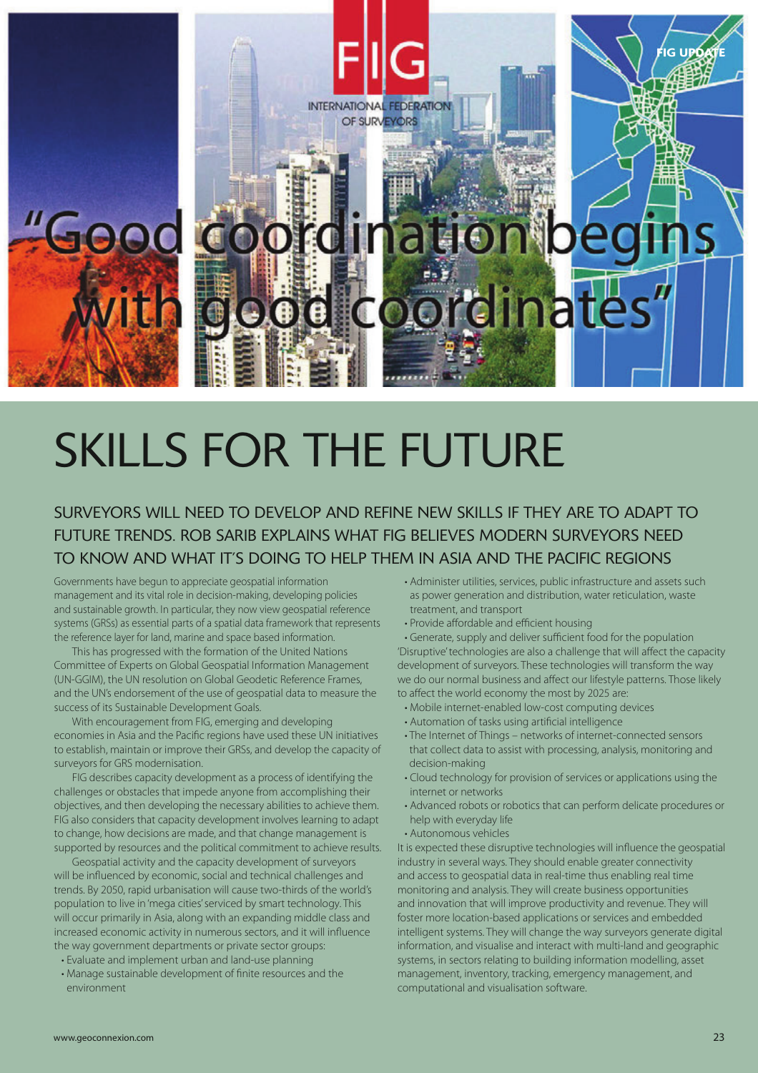

## SKILLS FOR THE FUTURE

## SURVEYORS WILL NEED TO DEVELOP AND REFINE NEW SKILLS IF THEY ARE TO ADAPT TO FUTURE TRENDS. ROB SARIB EXPLAINS WHAT FIG BELIEVES MODERN SURVEYORS NEED TO KNOW AND WHAT IT'S DOING TO HELP THEM IN ASIA AND THE PACIFIC REGIONS

Governments have begun to appreciate geospatial information management and its vital role in decision-making, developing policies and sustainable growth. In particular, they now view geospatial reference systems (GRSs) as essential parts of a spatial data framework that represents the reference layer for land, marine and space based information.

This has progressed with the formation of the United Nations Committee of Experts on Global Geospatial Information Management (UN-GGIM), the UN resolution on Global Geodetic Reference Frames, and the UN's endorsement of the use of geospatial data to measure the success of its Sustainable Development Goals.

With encouragement from FIG, emerging and developing economies in Asia and the Pacific regions have used these UN initiatives to establish, maintain or improve their GRSs, and develop the capacity of surveyors for GRS modernisation.

FIG describes capacity development as a process of identifying the challenges or obstacles that impede anyone from accomplishing their objectives, and then developing the necessary abilities to achieve them. FIG also considers that capacity development involves learning to adapt to change, how decisions are made, and that change management is supported by resources and the political commitment to achieve results.

Geospatial activity and the capacity development of surveyors will be influenced by economic, social and technical challenges and trends. By 2050, rapid urbanisation will cause two-thirds of the world's population to live in 'mega cities' serviced by smart technology. This will occur primarily in Asia, along with an expanding middle class and increased economic activity in numerous sectors, and it will influence the way government departments or private sector groups:

- Evaluate and implement urban and land-use planning
- Manage sustainable development of finite resources and the environment
- Administer utilities, services, public infrastructure and assets such as power generation and distribution, water reticulation, waste treatment, and transport
- $\cdot$  Provide affordable and efficient housing

• Generate, supply and deliver sufficient food for the population 'Disruptive' technologies are also a challenge that will affect the capacity development of surveyors. These technologies will transform the way we do our normal business and affect our lifestyle patterns. Those likely to affect the world economy the most by 2025 are:

- Mobile internet-enabled low-cost computing devices
- Automation of tasks using artificial intelligence
- The Internet of Things networks of internet-connected sensors that collect data to assist with processing, analysis, monitoring and decision-making
- Cloud technology for provision of services or applications using the internet or networks
- Advanced robots or robotics that can perform delicate procedures or help with everyday life
- Autonomous vehicles

It is expected these disruptive technologies will influence the geospatial industry in several ways. They should enable greater connectivity and access to geospatial data in real-time thus enabling real time monitoring and analysis. They will create business opportunities and innovation that will improve productivity and revenue. They will foster more location-based applications or services and embedded intelligent systems. They will change the way surveyors generate digital information, and visualise and interact with multi-land and geographic systems, in sectors relating to building information modelling, asset management, inventory, tracking, emergency management, and computational and visualisation software.